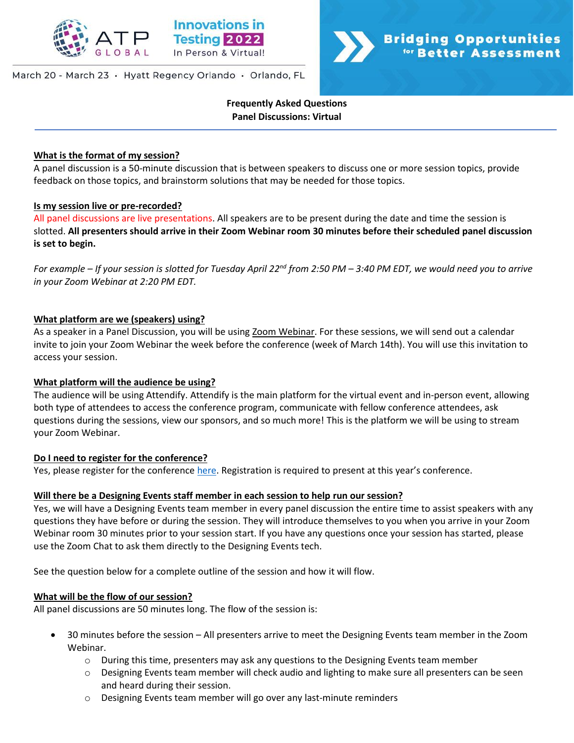

### March 20 - March 23 · Hyatt Regency Orlando · Orlando, FL



**Frequently Asked Questions Panel Discussions: Virtual**

#### **What is the format of my session?**

A panel discussion is a 50-minute discussion that is between speakers to discuss one or more session topics, provide feedback on those topics, and brainstorm solutions that may be needed for those topics.

#### **Is my session live or pre-recorded?**

All panel discussions are live presentations. All speakers are to be present during the date and time the session is slotted. **All presenters should arrive in their Zoom Webinar room 30 minutes before their scheduled panel discussion is set to begin.**

*For example – If your session is slotted for Tuesday April 22nd from 2:50 PM – 3:40 PM EDT, we would need you to arrive in your Zoom Webinar at 2:20 PM EDT.* 

# **What platform are we (speakers) using?**

As a speaker in a Panel Discussion, you will be using Zoom Webinar. For these sessions, we will send out a calendar invite to join your Zoom Webinar the week before the conference (week of March 14th). You will use this invitation to access your session.

#### **What platform will the audience be using?**

The audience will be using Attendify. Attendify is the main platform for the virtual event and in-person event, allowing both type of attendees to access the conference program, communicate with fellow conference attendees, ask questions during the sessions, view our sponsors, and so much more! This is the platform we will be using to stream your Zoom Webinar.

#### **Do I need to register for the conference?**

Yes, please register for the conference [here](http://www.innovationsintesting.org/register.aspx). Registration is required to present at this year's conference.

# **Will there be a Designing Events staff member in each session to help run our session?**

Yes, we will have a Designing Events team member in every panel discussion the entire time to assist speakers with any questions they have before or during the session. They will introduce themselves to you when you arrive in your Zoom Webinar room 30 minutes prior to your session start. If you have any questions once your session has started, please use the Zoom Chat to ask them directly to the Designing Events tech.

See the question below for a complete outline of the session and how it will flow.

#### **What will be the flow of our session?**

All panel discussions are 50 minutes long. The flow of the session is:

- 30 minutes before the session All presenters arrive to meet the Designing Events team member in the Zoom Webinar.
	- o During this time, presenters may ask any questions to the Designing Events team member
	- o Designing Events team member will check audio and lighting to make sure all presenters can be seen and heard during their session.
	- o Designing Events team member will go over any last-minute reminders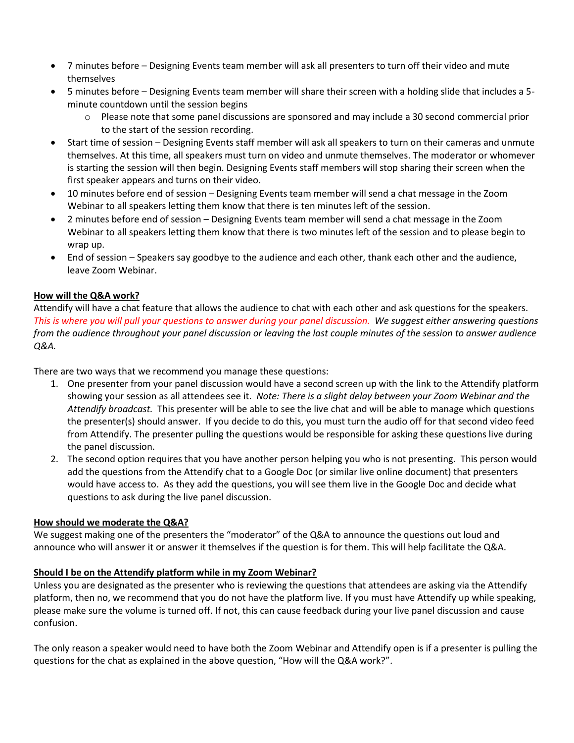- 7 minutes before Designing Events team member will ask all presenters to turn off their video and mute themselves
- 5 minutes before Designing Events team member will share their screen with a holding slide that includes a 5 minute countdown until the session begins
	- Please note that some panel discussions are sponsored and may include a 30 second commercial prior to the start of the session recording.
- Start time of session Designing Events staff member will ask all speakers to turn on their cameras and unmute themselves. At this time, all speakers must turn on video and unmute themselves. The moderator or whomever is starting the session will then begin. Designing Events staff members will stop sharing their screen when the first speaker appears and turns on their video.
- 10 minutes before end of session Designing Events team member will send a chat message in the Zoom Webinar to all speakers letting them know that there is ten minutes left of the session.
- 2 minutes before end of session Designing Events team member will send a chat message in the Zoom Webinar to all speakers letting them know that there is two minutes left of the session and to please begin to wrap up.
- End of session Speakers say goodbye to the audience and each other, thank each other and the audience, leave Zoom Webinar.

# **How will the Q&A work?**

Attendify will have a chat feature that allows the audience to chat with each other and ask questions for the speakers. *This is where you will pull your questions to answer during your panel discussion. We suggest either answering questions from the audience throughout your panel discussion or leaving the last couple minutes of the session to answer audience Q&A.*

There are two ways that we recommend you manage these questions:

- 1. One presenter from your panel discussion would have a second screen up with the link to the Attendify platform showing your session as all attendees see it. *Note: There is a slight delay between your Zoom Webinar and the Attendify broadcast.* This presenter will be able to see the live chat and will be able to manage which questions the presenter(s) should answer. If you decide to do this, you must turn the audio off for that second video feed from Attendify. The presenter pulling the questions would be responsible for asking these questions live during the panel discussion.
- 2. The second option requires that you have another person helping you who is not presenting. This person would add the questions from the Attendify chat to a Google Doc (or similar live online document) that presenters would have access to. As they add the questions, you will see them live in the Google Doc and decide what questions to ask during the live panel discussion.

# **How should we moderate the Q&A?**

We suggest making one of the presenters the "moderator" of the Q&A to announce the questions out loud and announce who will answer it or answer it themselves if the question is for them. This will help facilitate the Q&A.

# **Should I be on the Attendify platform while in my Zoom Webinar?**

Unless you are designated as the presenter who is reviewing the questions that attendees are asking via the Attendify platform, then no, we recommend that you do not have the platform live. If you must have Attendify up while speaking, please make sure the volume is turned off. If not, this can cause feedback during your live panel discussion and cause confusion.

The only reason a speaker would need to have both the Zoom Webinar and Attendify open is if a presenter is pulling the questions for the chat as explained in the above question, "How will the Q&A work?".